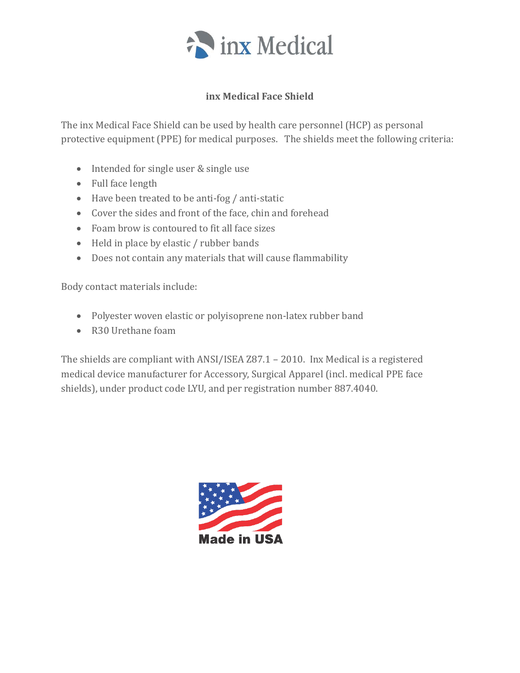

# **inx Medical Face Shield**

The inx Medical Face Shield can be used by health care personnel (HCP) as personal protective equipment (PPE) for medical purposes. The shields meet the following criteria:

- Intended for single user & single use
- Full face length
- Have been treated to be anti-fog / anti-static
- Cover the sides and front of the face, chin and forehead
- Foam brow is contoured to fit all face sizes
- Held in place by elastic / rubber bands
- Does not contain any materials that will cause flammability

Body contact materials include:

- Polyester woven elastic or polyisoprene non-latex rubber band
- R30 Urethane foam

The shields are compliant with ANSI/ISEA Z87.1 – 2010. Inx Medical is a registered medical device manufacturer for Accessory, Surgical Apparel (incl. medical PPE face shields), under product code LYU, and per registration number 887.4040.